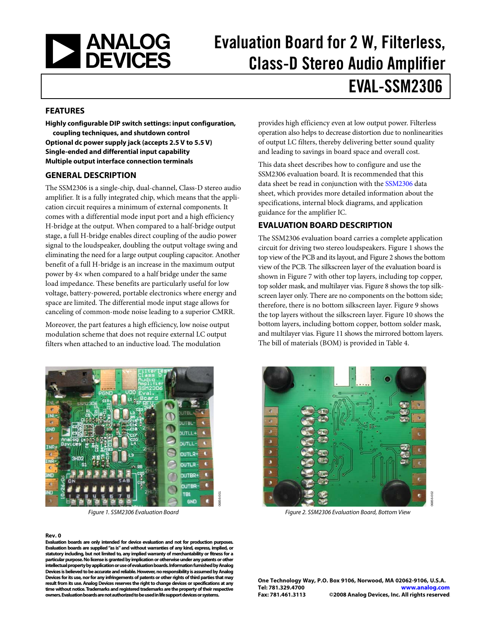<span id="page-0-1"></span>

# Evaluation Board for 2 W, Filterless, Class-D Stereo Audio Amplifier EVAL-SSM2306

#### **FEATURES**

**Highly configurable DIP switch settings: input configuration, coupling techniques, and shutdown control Optional dc power supply jack (accepts 2.5 V to 5.5 V) Single-ended and differential input capability Multiple output interface connection terminals** 

#### **GENERAL DESCRIPTION**

The SSM2306 is a single-chip, dual-channel, Class-D stereo audio amplifier. It is a fully integrated chip, which means that the application circuit requires a minimum of external components. It comes with a differential mode input port and a high efficiency H-bridge at the output. When compared to a half-bridge output stage, a full H-bridge enables direct coupling of the audio power signal to the loudspeaker, doubling the output voltage swing and eliminating the need for a large output coupling capacitor. Another benefit of a full H-bridge is an increase in the maximum output power by 4× when compared to a half bridge under the same load impedance. These benefits are particularly useful for low voltage, battery-powered, portable electronics where energy and space are limited. The differential mode input stage allows for canceling of common-mode noise leading to a superior CMRR.

Moreover, the part features a high efficiency, low noise output modulation scheme that does not require external LC output filters when attached to an inductive load. The modulation



#### <span id="page-0-0"></span>**Rev. 0**

**Evaluation boards are only intended for device evaluation and not for production purposes. Evaluation boards are supplied "as is" and without warranties of any kind, express, implied, or statutory including, but not limited to, any implied warranty of merchantability or fitness for a particular purpose. No license is granted by implication or otherwise under any patents or other intellectual property by application or use of evaluation boards. Information furnished by Analog alog Devices is believed to be accurate and reliable. However, no responsibility is assumed by An may Devices for its use, nor for any infringements of patents or other rights of third parties that any result from its use. Analog Devices reserves the right to change devices or specifications at ctive time without notice. Trademarks and registered trademarks are the property of their respe owners. Evaluation boards are not authorized to be used in life support devices or systems.** 

provides high efficiency even at low output power. Filterless operation also helps to decrease distortion due to nonlinearities of output LC filters, thereby delivering better sound quality and leading to savings in board space and overall cost.

This data sheet describes how to configure and use the [SSM2306](http://www.analog.com/SSM2306) evaluation board. It is recommended that this data sheet be read in conjunction with the [SSM2306](http://www.analog.com/SSM2306) data sheet, which provides more detailed information about the specifications, internal block diagrams, and application guidance for the amplifier IC.

#### **EVALUATION BOARD DESCRIPTION**

The [SSM2306](http://www.analog.com/SSM2306) evaluation board carries a complete application circuit for driving two stereo loudspeakers. [Figure 1](#page-0-0) shows the top view of the PCB and its layout, and [Figure 2](#page-0-0) shows the bottom view of the PCB. The silkscreen layer of the evaluation board is shown in [Figure 7](#page-6-0) with other top layers, including top copper, top solder mask, and multilayer vias. [Figure 8](#page-6-0) shows the top silkscreen layer only. There are no components on the bottom side; therefore, there is no bottom silkscreen layer. [Figure 9](#page-6-0) shows the top layers without the silkscreen layer. [Figure 10](#page-6-0) shows the bottom layers, including bottom copper, bottom solder mask, and multilayer vias. [Figure 11](#page-6-0) shows the mirrored bottom layers. The bill of materials (BOM) is provided in [Table 4](#page-7-0).



Figure 1. SSM2306 Evaluation Board Figure 2. SSM2306 Evaluation Board, Bottom View

**One Technology Way, P.O. Box 9106, Norwood, MA 02062-9106, U.S.A. Tel: 781.329.4700 www.analog.com Fax: 781.461.3113 ©2008 Analog Devices, Inc. All rights reserved .**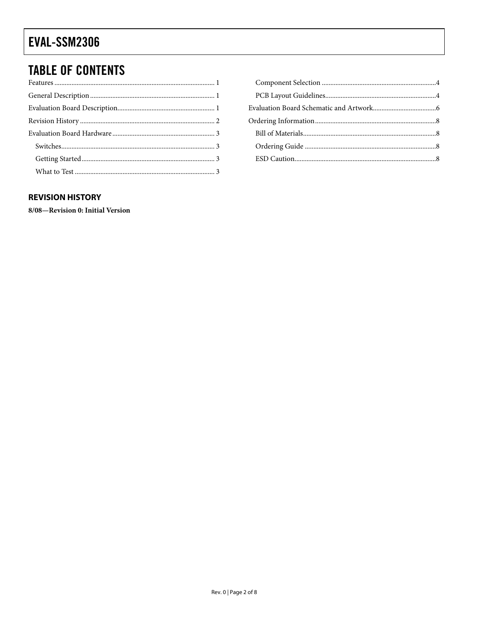## <span id="page-1-0"></span>EVAL-SSM2306

### **TABLE OF CONTENTS**

#### **REVISION HISTORY**

8/08-Revision 0: Initial Version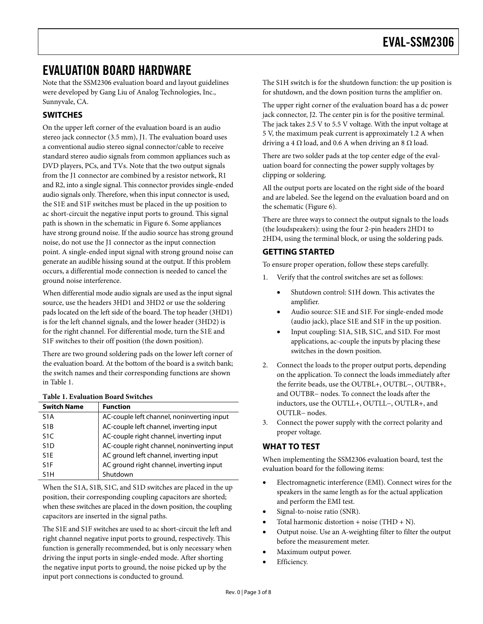### <span id="page-2-1"></span><span id="page-2-0"></span>EVALUATION BOARD HARDWARE

Note that the [SSM2306](http://www.analog.com/SSM2306) evaluation board and layout guidelines were developed by Gang Liu of Analog Technologies, Inc., Sunnyvale, CA.

### **SWITCHES**

On the upper left corner of the evaluation board is an audio stereo jack connector (3.5 mm), J1. The evaluation board uses a conventional audio stereo signal connector/cable to receive standard stereo audio signals from common appliances such as DVD players, PCs, and TVs. Note that the two output signals from the J1 connector are combined by a resistor network, R1 and R2, into a single signal. This connector provides single-ended audio signals only. Therefore, when this input connector is used, the S1E and S1F switches must be placed in the up position to ac short-circuit the negative input ports to ground. This signal path is shown in the schematic in [Figure 6](#page-5-1). Some appliances have strong ground noise. If the audio source has strong ground noise, do not use the J1 connector as the input connection point. A single-ended input signal with strong ground noise can generate an audible hissing sound at the output. If this problem occurs, a differential mode connection is needed to cancel the ground noise interference.

When differential mode audio signals are used as the input signal source, use the headers 3HD1 and 3HD2 or use the soldering pads located on the left side of the board. The top header (3HD1) is for the left channel signals, and the lower header (3HD2) is for the right channel. For differential mode, turn the S1E and S1F switches to their off position (the down position).

There are two ground soldering pads on the lower left corner of the evaluation board. At the bottom of the board is a switch bank; the switch names and their corresponding functions are shown in [Table 1](#page-2-2).

<span id="page-2-2"></span>

| <b>Switch Name</b> | <b>Function</b>                             |
|--------------------|---------------------------------------------|
| S <sub>1</sub> A   | AC-couple left channel, noninverting input  |
| S <sub>1</sub> B   | AC-couple left channel, inverting input     |
| S <sub>1</sub> C   | AC-couple right channel, inverting input    |
| S <sub>1</sub> D   | AC-couple right channel, noninverting input |
| S <sub>1</sub> F   | AC ground left channel, inverting input     |
| S <sub>1</sub> F   | AC ground right channel, inverting input    |
| S1H                | Shutdown                                    |

When the S1A, S1B, S1C, and S1D switches are placed in the up position, their corresponding coupling capacitors are shorted; when these switches are placed in the down position, the coupling capacitors are inserted in the signal paths.

The S1E and S1F switches are used to ac short-circuit the left and right channel negative input ports to ground, respectively. This function is generally recommended, but is only necessary when driving the input ports in single-ended mode. After shorting the negative input ports to ground, the noise picked up by the input port connections is conducted to ground.

The S1H switch is for the shutdown function: the up position is for shutdown, and the down position turns the amplifier on.

The upper right corner of the evaluation board has a dc power jack connector, J2. The center pin is for the positive terminal. The jack takes 2.5 V to 5.5 V voltage. With the input voltage at 5 V, the maximum peak current is approximately 1.2 A when driving a 4  $\Omega$  load, and 0.6 A when driving an 8  $\Omega$  load.

There are two solder pads at the top center edge of the evaluation board for connecting the power supply voltages by clipping or soldering.

All the output ports are located on the right side of the board and are labeled. See the legend on the evaluation board and on the schematic [\(Figure 6](#page-5-1)).

There are three ways to connect the output signals to the loads (the loudspeakers): using the four 2-pin headers 2HD1 to 2HD4, using the terminal block, or using the soldering pads.

#### **GETTING STARTED**

To ensure proper operation, follow these steps carefully.

- 1. Verify that the control switches are set as follows:
	- Shutdown control: S1H down. This activates the amplifier.
	- Audio source: S1E and S1F. For single-ended mode (audio jack), place S1E and S1F in the up position.
	- Input coupling: S1A, S1B, S1C, and S1D. For most applications, ac-couple the inputs by placing these switches in the down position.
- 2. Connect the loads to the proper output ports, depending on the application. To connect the loads immediately after the ferrite beads, use the OUTBL+, OUTBL−, OUTBR+, and OUTBR− nodes. To connect the loads after the inductors, use the OUTLL+, OUTLL−, OUTLR+, and OUTLR− nodes.
- 3. Connect the power supply with the correct polarity and proper voltage.

#### **WHAT TO TEST**

When implementing the SSM2306 evaluation board, test the evaluation board for the following items:

- Electromagnetic interference (EMI). Connect wires for the speakers in the same length as for the actual application and perform the EMI test.
- Signal-to-noise ratio (SNR).
- Total harmonic distortion + noise (THD + N).
- Output noise. Use an A-weighting filter to filter the output before the measurement meter.
- Maximum output power.
- Efficiency.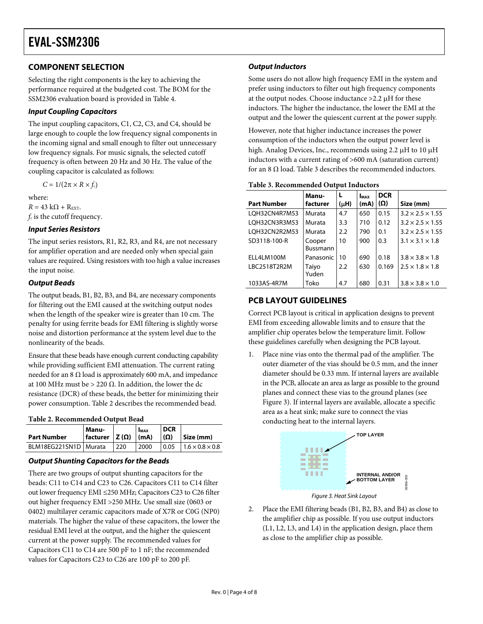#### <span id="page-3-0"></span>**COMPONENT SELECTION**

Selecting the right components is the key to achieving the performance required at the budgeted cost. The BOM for the SSM2306 evaluation board is provided in [Table 4](#page-7-0).

#### **Input Coupling Capacitors**

The input coupling capacitors, C1, C2, C3, and C4, should be large enough to couple the low frequency signal components in the incoming signal and small enough to filter out unnecessary low frequency signals. For music signals, the selected cutoff frequency is often between 20 Hz and 30 Hz. The value of the coupling capacitor is calculated as follows:

 $C = 1/(2\pi \times R \times f_c)$ 

<span id="page-3-2"></span>where:  $R = 43 \text{ k}\Omega + \text{R}_{\text{EXT}}.$  $f_c$  is the cutoff frequency.

#### **Input Series Resistors**

The input series resistors, R1, R2, R3, and R4, are not necessary for amplifier operation and are needed only when special gain values are required. Using resistors with too high a value increases the input noise.

#### **Output Beads**

The output beads, B1, B2, B3, and B4, are necessary components for filtering out the EMI caused at the switching output nodes when the length of the speaker wire is greater than 10 cm. The penalty for using ferrite beads for EMI filtering is slightly worse noise and distortion performance at the system level due to the nonlinearity of the beads.

Ensure that these beads have enough current conducting capability while providing sufficient EMI attenuation. The current rating needed for an 8 Ω load is approximately 600 mA, and impedance at 100 MHz must be > 220  $Ω$ . In addition, the lower the dc resistance (DCR) of these beads, the better for minimizing their power consumption. [Table 2](#page-3-1) describes the recommended bead.

#### **Table 2. Recommended Output Bead**

<span id="page-3-1"></span>

| <b>Part Number</b>    | l Manu-<br>$ $ facturer $ Z(\Omega) $ (mA) |     | <b>IMAX</b> | <b>DCR</b><br>$(\Omega)$ | Size (mm)                            |
|-----------------------|--------------------------------------------|-----|-------------|--------------------------|--------------------------------------|
| BLM18EG221SN1D Murata |                                            | 220 | 2000        |                          | $0.05$   $1.6 \times 0.8 \times 0.8$ |

#### **Output Shunting Capacitors for the Beads**

<span id="page-3-3"></span>There are two groups of output shunting capacitors for the beads: C11 to C14 and C23 to C26. Capacitors C11 to C14 filter out lower frequency EMI ≤250 MHz; Capacitors C23 to C26 filter out higher frequency EMI >250 MHz. Use small size (0603 or 0402) multilayer ceramic capacitors made of X7R or C0G (NP0) materials. The higher the value of these capacitors, the lower the residual EMI level at the output, and the higher the quiescent current at the power supply. The recommended values for Capacitors C11 to C14 are 500 pF to 1 nF; the recommended values for Capacitors C23 to C26 are 100 pF to 200 pF.

#### **Output Inductors**

Some users do not allow high frequency EMI in the system and prefer using inductors to filter out high frequency components at the output nodes. Choose inductance >2.2 μH for these inductors. The higher the inductance, the lower the EMI at the output and the lower the quiescent current at the power supply.

However, note that higher inductance increases the power consumption of the inductors when the output power level is high. Analog Devices, Inc., recommends using 2.2 μH to 10 μH inductors with a current rating of >600 mA (saturation current) for an 8  $\Omega$  load. [Table 3](#page-3-2) describes the recommended inductors.

|  | Table 3. Recommended Output Inductors |  |  |
|--|---------------------------------------|--|--|
|--|---------------------------------------|--|--|

|                    | Manu-                     |           | <b>I</b> <sub>MAX</sub> | <b>DCR</b> |                              |
|--------------------|---------------------------|-----------|-------------------------|------------|------------------------------|
| <b>Part Number</b> | facturer                  | $(\mu H)$ | (mA)                    | $(\Omega)$ | Size (mm)                    |
| LQH32CN4R7M53      | Murata                    | 4.7       | 650                     | 0.15       | $3.2 \times 2.5 \times 1.55$ |
| LQH32CN3R3M53      | Murata                    | 3.3       | 710                     | 0.12       | $3.2 \times 2.5 \times 1.55$ |
| LOH32CN2R2M53      | Murata                    | 2.2       | 790                     | 0.1        | $3.2 \times 2.5 \times 1.55$ |
| SD3118-100-R       | Cooper<br><b>Bussmann</b> | 10        | 900                     | 0.3        | $3.1 \times 3.1 \times 1.8$  |
| ELL4LM100M         | Panasonic                 | 10        | 690                     | 0.18       | $3.8 \times 3.8 \times 1.8$  |
| LBC2518T2R2M       | Taiyo<br>Yuden            | 2.2       | 630                     | 0.169      | $2.5 \times 1.8 \times 1.8$  |
| 1033AS-4R7M        | Toko                      | 4.7       | 680                     | 0.31       | $3.8 \times 3.8 \times 1.0$  |

#### **PCB LAYOUT GUIDELINES**

Correct PCB layout is critical in application designs to prevent EMI from exceeding allowable limits and to ensure that the amplifier chip operates below the temperature limit. Follow these guidelines carefully when designing the PCB layout.

1. Place nine vias onto the thermal pad of the amplifier. The outer diameter of the vias should be 0.5 mm, and the inner diameter should be 0.33 mm. If internal layers are available in the PCB, allocate an area as large as possible to the ground planes and connect these vias to the ground planes (see [Figure 3](#page-3-3)). If internal layers are available, allocate a specific area as a heat sink; make sure to connect the vias conducting heat to the internal layers.



Figure 3. Heat Sink Layout

2. Place the EMI filtering beads (B1, B2, B3, and B4) as close to the amplifier chip as possible. If you use output inductors (L1, L2, L3, and L4) in the application design, place them as close to the amplifier chip as possible.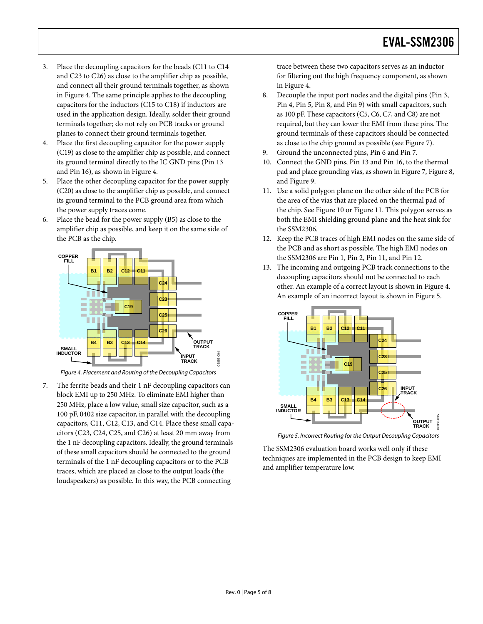- 3. Place the decoupling capacitors for the beads (C11 to C14 and C23 to C26) as close to the amplifier chip as possible, and connect all their ground terminals together, as shown in [Figure 4.](#page-4-0) The same principle applies to the decoupling capacitors for the inductors (C15 to C18) if inductors are used in the application design. Ideally, solder their ground terminals together; do not rely on PCB tracks or ground planes to connect their ground terminals together.
- 4. Place the first decoupling capacitor for the power supply (C19) as close to the amplifier chip as possible, and connect its ground terminal directly to the IC GND pins (Pin 13 and Pin 16), as shown in [Figure 4](#page-4-0).
- 5. Place the other decoupling capacitor for the power supply (C20) as close to the amplifier chip as possible, and connect its ground terminal to the PCB ground area from which the power supply traces come.
- 6. Place the bead for the power supply (B5) as close to the amplifier chip as possible, and keep it on the same side of the PCB as the chip.



Figure 4. Placement and Routing of the Decoupling Capacitors

<span id="page-4-1"></span><span id="page-4-0"></span>7. The ferrite beads and their 1 nF decoupling capacitors can block EMI up to 250 MHz. To eliminate EMI higher than 250 MHz, place a low value, small size capacitor, such as a 100 pF, 0402 size capacitor, in parallel with the decoupling capacitors, C11, C12, C13, and C14. Place these small capacitors (C23, C24, C25, and C26) at least 20 mm away from the 1 nF decoupling capacitors. Ideally, the ground terminals of these small capacitors should be connected to the ground terminals of the 1 nF decoupling capacitors or to the PCB traces, which are placed as close to the output loads (the loudspeakers) as possible. In this way, the PCB connecting

trace between these two capacitors serves as an inductor for filtering out the high frequency component, as shown in [Figure 4.](#page-4-0)

- 8. Decouple the input port nodes and the digital pins (Pin 3, Pin 4, Pin 5, Pin 8, and Pin 9) with small capacitors, such as 100 pF. These capacitors (C5, C6, C7, and C8) are not required, but they can lower the EMI from these pins. The ground terminals of these capacitors should be connected as close to the chip ground as possible (see [Figure 7\)](#page-6-0).
- 9. Ground the unconnected pins, Pin 6 and Pin 7.
- 10. Connect the GND pins, Pin 13 and Pin 16, to the thermal pad and place grounding vias, as shown in [Figure 7](#page-6-0), [Figure 8,](#page-6-0) and [Figure 9](#page-6-0).
- 11. Use a solid polygon plane on the other side of the PCB for the area of the vias that are placed on the thermal pad of the chip. See [Figure 10](#page-6-0) or [Figure 11](#page-6-0). This polygon serves as both the EMI shielding ground plane and the heat sink for the SSM2306.
- 12. Keep the PCB traces of high EMI nodes on the same side of the PCB and as short as possible. The high EMI nodes on the SSM2306 are Pin 1, Pin 2, Pin 11, and Pin 12.
- 13. The incoming and outgoing PCB track connections to the decoupling capacitors should not be connected to each other. An example of a correct layout is shown in [Figure 4](#page-4-0). An example of an incorrect layout is shown in [Figure 5.](#page-4-1)



Figure 5. Incorrect Routing for the Output Decoupling Capacitors

The SSM2306 evaluation board works well only if these techniques are implemented in the PCB design to keep EMI and amplifier temperature low.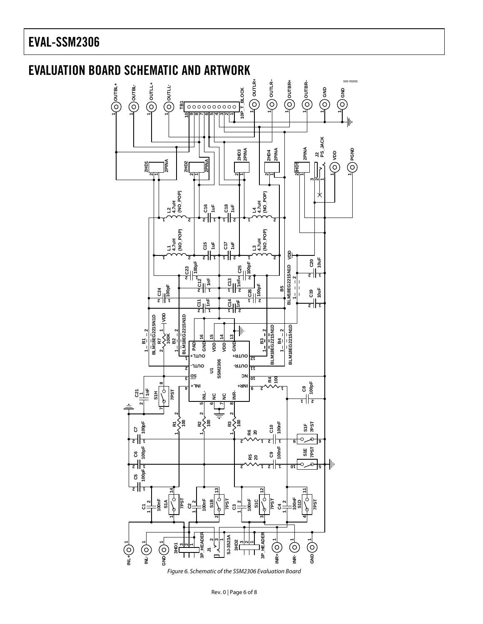### <span id="page-5-1"></span><span id="page-5-0"></span>EVAL-SSM2306



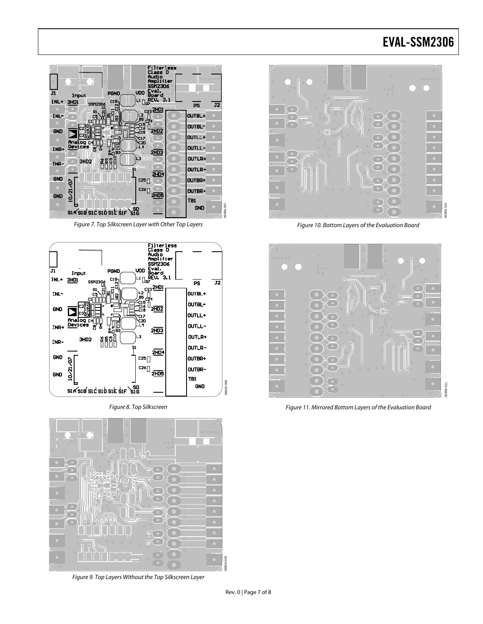### EVAL-SSM2306

<span id="page-6-0"></span>

Figure 7. Top Silkscreen Layer with Other Top Layers



Figure 8. Top Silkscreen



Figure 9. Top Layers Without the Top Silkscreen Layer



Figure 10. Bottom Layers of the Evaluation Board



Figure 11. Mirrored Bottom Layers of the Evaluation Board